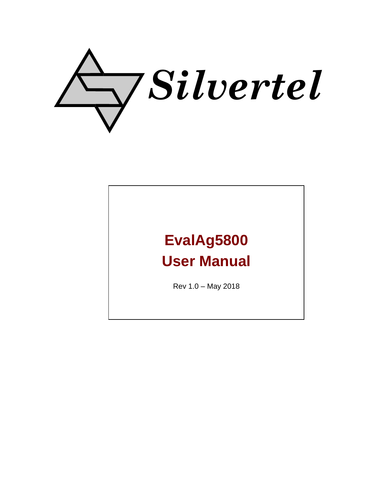

# **EvalAg5800 User Manual**

Rev 1.0 – May 2018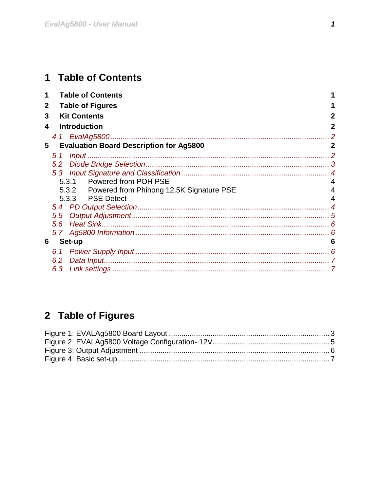# <span id="page-1-0"></span>1 Table of Contents

| 1            | <b>Table of Contents</b>                       |             |
|--------------|------------------------------------------------|-------------|
| $\mathbf{2}$ | <b>Table of Figures</b>                        |             |
| 3            | <b>Kit Contents</b>                            | 2           |
| 4            | <b>Introduction</b>                            | 2           |
|              |                                                |             |
| 5            | <b>Evaluation Board Description for Ag5800</b> | $\mathbf 2$ |
|              | 5.1                                            |             |
|              |                                                |             |
|              |                                                |             |
|              | 5.3.1 Powered from POH PSE                     |             |
|              | 5.3.2 Powered from Phihong 12.5K Signature PSE |             |
|              | 5.3.3 PSE Detect                               |             |
|              |                                                |             |
|              | $5.5^{\circ}$                                  |             |
|              | $5.6^{\circ}$                                  |             |
|              |                                                |             |
| 6            | Set-up                                         | 6           |
|              |                                                |             |
|              | 6.2                                            |             |
|              | 6.3                                            |             |

# <span id="page-1-1"></span>2 Table of Figures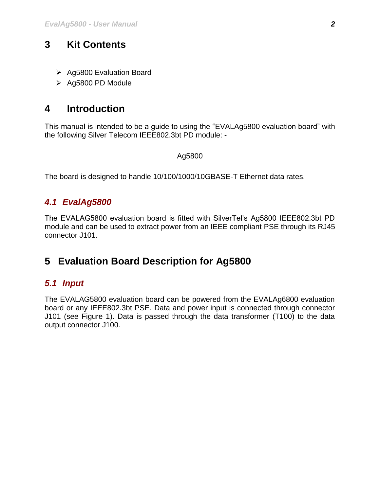# <span id="page-2-0"></span>**3 Kit Contents**

- $\triangleright$  Ag5800 Evaluation Board
- $\triangleright$  Ag5800 PD Module

# <span id="page-2-1"></span>**4 Introduction**

This manual is intended to be a guide to using the "EVALAg5800 evaluation board" with the following Silver Telecom IEEE802.3bt PD module: -

#### Ag5800

The board is designed to handle 10/100/1000/10GBASE-T Ethernet data rates.

# <span id="page-2-2"></span>*4.1 EvalAg5800*

The EVALAG5800 evaluation board is fitted with SilverTel's Ag5800 IEEE802.3bt PD module and can be used to extract power from an IEEE compliant PSE through its RJ45 connector J101.

# <span id="page-2-3"></span>**5 Evaluation Board Description for Ag5800**

# <span id="page-2-4"></span>*5.1 Input*

The EVALAG5800 evaluation board can be powered from the EVALAg6800 evaluation board or any IEEE802.3bt PSE. Data and power input is connected through connector J101 (see Figure 1). Data is passed through the data transformer (T100) to the data output connector J100.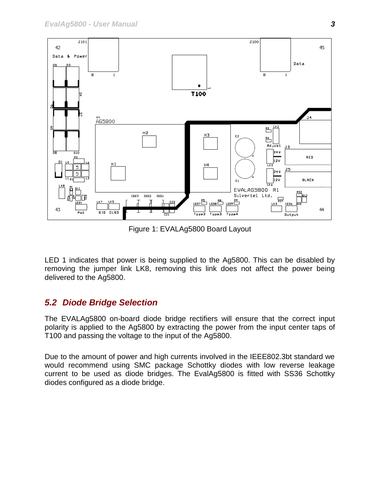

Figure 1: EVALAg5800 Board Layout

<span id="page-3-1"></span>LED 1 indicates that power is being supplied to the Ag5800. This can be disabled by removing the jumper link LK8, removing this link does not affect the power being delivered to the Ag5800.

# <span id="page-3-0"></span>*5.2 Diode Bridge Selection*

The EVALAg5800 on-board diode bridge rectifiers will ensure that the correct input polarity is applied to the Ag5800 by extracting the power from the input center taps of T100 and passing the voltage to the input of the Ag5800.

Due to the amount of power and high currents involved in the IEEE802.3bt standard we would recommend using SMC package Schottky diodes with low reverse leakage current to be used as diode bridges. The EvalAg5800 is fitted with SS36 Schottky diodes configured as a diode bridge.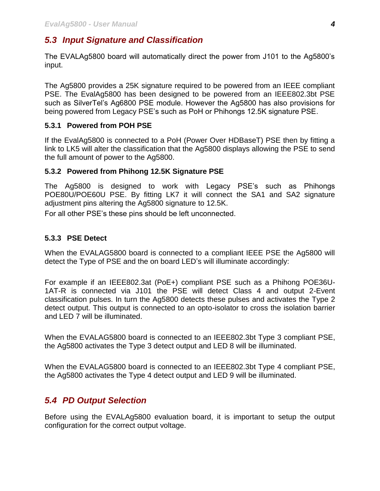# <span id="page-4-0"></span>*5.3 Input Signature and Classification*

The EVALAg5800 board will automatically direct the power from J101 to the Ag5800's input.

The Ag5800 provides a 25K signature required to be powered from an IEEE compliant PSE. The EvalAg5800 has been designed to be powered from an IEEE802.3bt PSE such as SilverTel's Ag6800 PSE module. However the Ag5800 has also provisions for being powered from Legacy PSE's such as PoH or Phihongs 12.5K signature PSE.

#### <span id="page-4-1"></span>**5.3.1 Powered from POH PSE**

If the EvalAg5800 is connected to a PoH (Power Over HDBaseT) PSE then by fitting a link to LK5 will alter the classification that the Ag5800 displays allowing the PSE to send the full amount of power to the Ag5800.

#### <span id="page-4-2"></span>**5.3.2 Powered from Phihong 12.5K Signature PSE**

The Ag5800 is designed to work with Legacy PSE's such as Phihongs POE80U/POE60U PSE. By fitting LK7 it will connect the SA1 and SA2 signature adjustment pins altering the Ag5800 signature to 12.5K.

For all other PSE's these pins should be left unconnected.

#### <span id="page-4-3"></span>**5.3.3 PSE Detect**

When the EVALAG5800 board is connected to a compliant IEEE PSE the Ag5800 will detect the Type of PSE and the on board LED's will illuminate accordingly:

For example if an IEEE802.3at (PoE+) compliant PSE such as a Phihong POE36U-1AT-R is connected via J101 the PSE will detect Class 4 and output 2-Event classification pulses. In turn the Ag5800 detects these pulses and activates the Type 2 detect output. This output is connected to an opto-isolator to cross the isolation barrier and LED 7 will be illuminated.

When the EVALAG5800 board is connected to an IEEE802.3bt Type 3 compliant PSE, the Ag5800 activates the Type 3 detect output and LED 8 will be illuminated.

When the EVALAG5800 board is connected to an IEEE802.3bt Type 4 compliant PSE, the Ag5800 activates the Type 4 detect output and LED 9 will be illuminated.

# <span id="page-4-4"></span>*5.4 PD Output Selection*

Before using the EVALAg5800 evaluation board, it is important to setup the output configuration for the correct output voltage.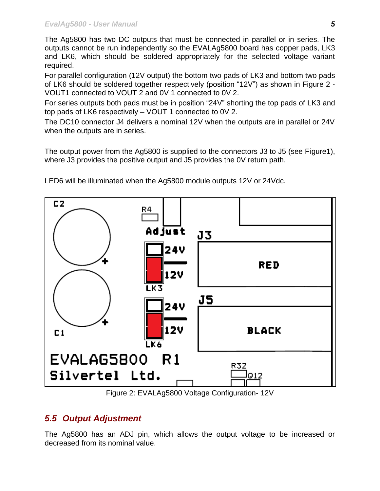The Ag5800 has two DC outputs that must be connected in parallel or in series. The outputs cannot be run independently so the EVALAg5800 board has copper pads, LK3 and LK6, which should be soldered appropriately for the selected voltage variant required.

For parallel configuration (12V output) the bottom two pads of LK3 and bottom two pads of LK6 should be soldered together respectively (position "12V") as shown in Figure 2 - VOUT1 connected to VOUT 2 and 0V 1 connected to 0V 2.

For series outputs both pads must be in position "24V" shorting the top pads of LK3 and top pads of LK6 respectively – VOUT 1 connected to 0V 2.

The DC10 connector J4 delivers a nominal 12V when the outputs are in parallel or 24V when the outputs are in series.

The output power from the Ag5800 is supplied to the connectors J3 to J5 (see Figure1), where J3 provides the positive output and J5 provides the 0V return path.



LED6 will be illuminated when the Ag5800 module outputs 12V or 24Vdc.

Figure 2: EVALAg5800 Voltage Configuration- 12V

# <span id="page-5-1"></span><span id="page-5-0"></span>*5.5 Output Adjustment*

The Ag5800 has an ADJ pin, which allows the output voltage to be increased or decreased from its nominal value.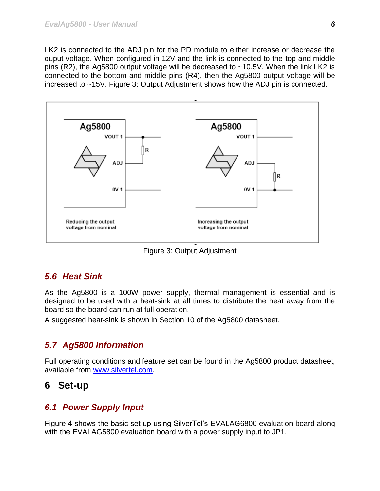LK2 is connected to the ADJ pin for the PD module to either increase or decrease the ouput voltage. When configured in 12V and the link is connected to the top and middle pins (R2), the Ag5800 output voltage will be decreased to ~10.5V. When the link LK2 is connected to the bottom and middle pins (R4), then the Ag5800 output voltage will be increased to ~15V. Figure 3: Output Adjustment shows how the ADJ pin is connected.



Figure 3: Output Adjustment

# <span id="page-6-4"></span><span id="page-6-0"></span>*5.6 Heat Sink*

As the Ag5800 is a 100W power supply, thermal management is essential and is designed to be used with a heat-sink at all times to distribute the heat away from the board so the board can run at full operation.

A suggested heat-sink is shown in Section 10 of the Ag5800 datasheet.

# <span id="page-6-1"></span>*5.7 Ag5800 Information*

Full operating conditions and feature set can be found in the Ag5800 product datasheet, available from [www.silvertel.com.](http://www.silvertel.com/)

# <span id="page-6-2"></span>**6 Set-up**

# <span id="page-6-3"></span>*6.1 Power Supply Input*

Figure 4 shows the basic set up using SilverTel's EVALAG6800 evaluation board along with the EVALAG5800 evaluation board with a power supply input to JP1.